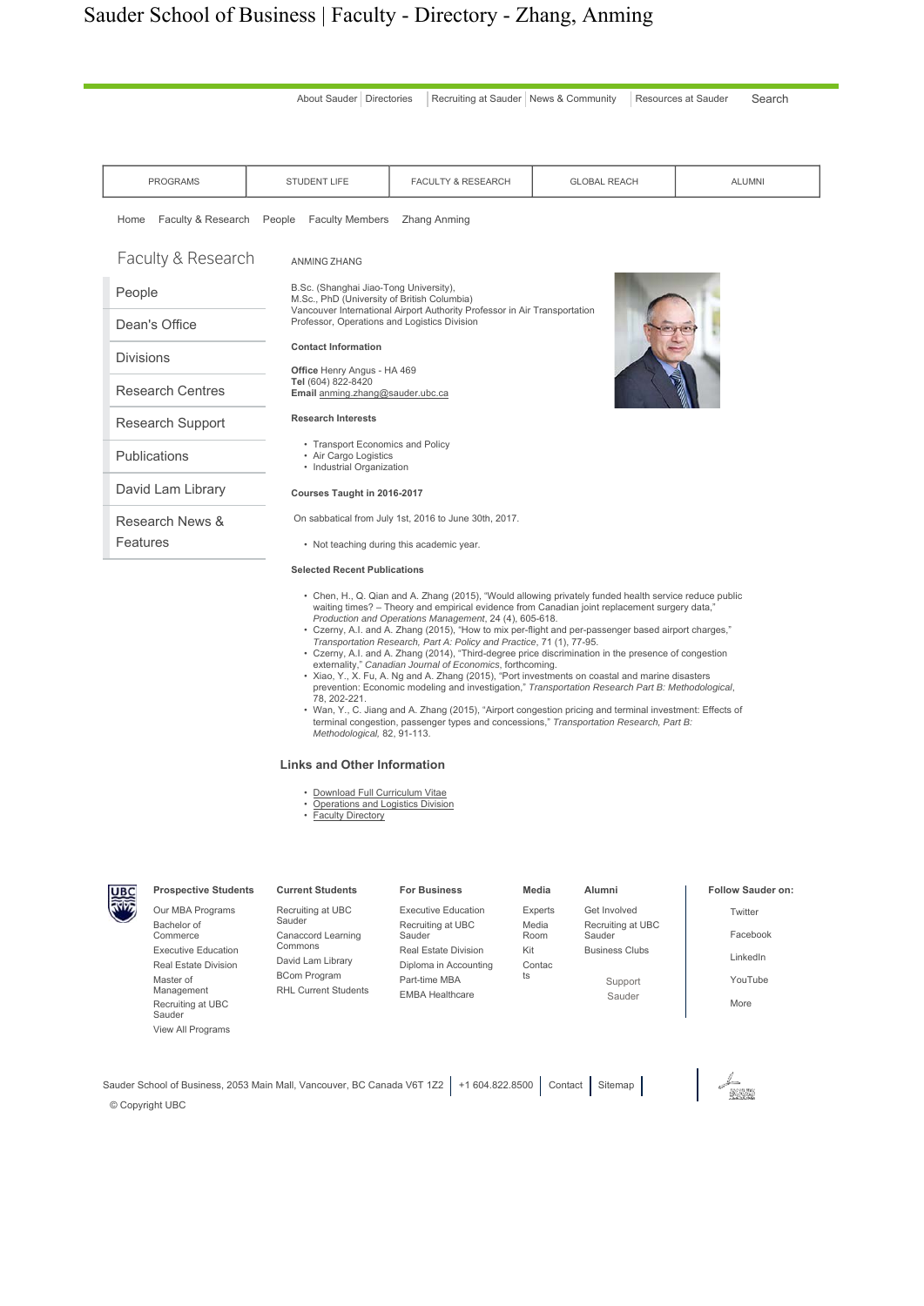# Sauder School of Business | Faculty - Directory - Zhang, Anming



- waiting times? Theory and empirical evidence from Canadian joint replacement surgery data," *Production and Operations Management*, 24 (4), 605-618.
- 
- Czerny, A.I. and A. Zhang (2015), "How to mix per-flight and per-passenger based airport charges,"<br>Transportation Research, Part A: Policy and Practice, 71 (1), 77-95.<br>• Czerny, A.I. and A. Zhang (2014), "Third-degree p
- prevention: Economic modeling and investigation," *Transportation Research Part B: Methodological*, 78, 202-221.
- Wan, Y., C. Jiang and A. Zhang (2015), "Airport congestion pricing and terminal investment: Effects of terminal congestion, passenger types and concessions," *Transportation Research, Part B: Methodological,* 82, 91-113.

#### **Links and Other Information**

- Download Full Curriculum Vitae
- **Operations and Logistics Division**
- Faculty Directory

| <u>पाद</u><br>लेक्ट्रे | <b>Prospective Students</b> | <b>Current Students</b>                            | <b>For Business</b>                     | Media          | Alumni                      | <b>Follow Saud</b> |
|------------------------|-----------------------------|----------------------------------------------------|-----------------------------------------|----------------|-----------------------------|--------------------|
|                        | Our MBA Programs            | Recruiting at UBC                                  | Executive Education                     | <b>Experts</b> | Get Involved                | Twitter            |
|                        | Bachelor of<br>Commerce     | Sauder<br>Canaccord Learning<br>Commons            | Recruiting at UBC<br>Sauder             | Media<br>Room  | Recruiting at UBC<br>Sauder | Faceboo            |
|                        | <b>Executive Education</b>  |                                                    | <b>Real Estate Division</b>             | Kit            | <b>Business Clubs</b>       | LinkedIn           |
|                        | Real Estate Division        | David Lam Library                                  | Diploma in Accounting                   | Contac         |                             |                    |
|                        | Master of                   | <b>BCom Program</b><br><b>RHL Current Students</b> | Part-time MBA<br><b>EMBA Healthcare</b> | ts             | Support                     | YouTube            |
|                        | Management                  |                                                    |                                         |                | Sauder                      | More               |
|                        | Recruiting at UBC<br>Sauder |                                                    |                                         |                |                             |                    |
|                        | View All Programs           |                                                    |                                         |                |                             |                    |

Sauder School of Business, 2053 Main Mall, Vancouver, BC Canada V6T 1Z2 +1 604.822.8500 Contact Sitemap © Copyright UBC

#### der on:

- ok
- 

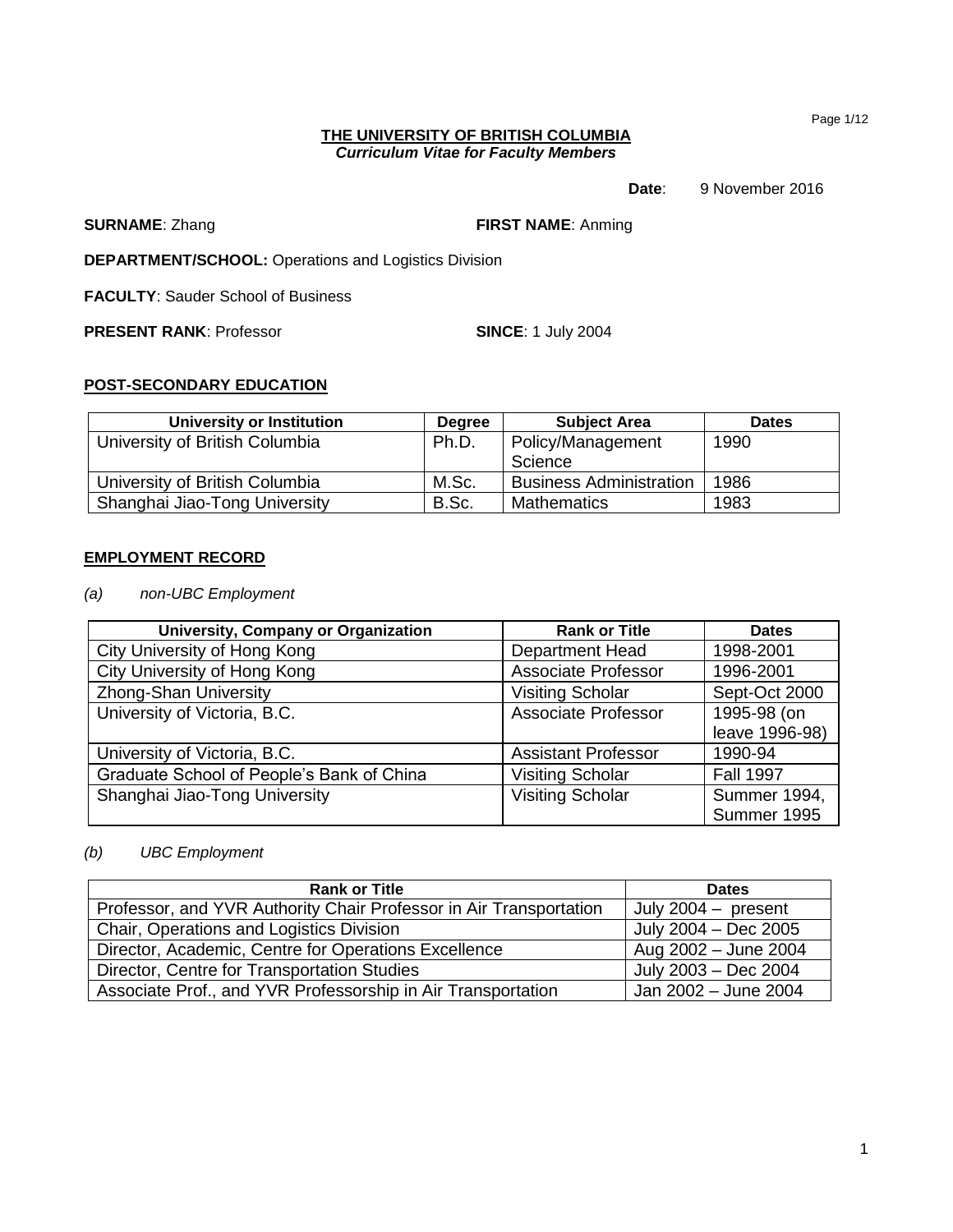Page 1/12

### **THE UNIVERSITY OF BRITISH COLUMBIA** *Curriculum Vitae for Faculty Members*

# **Date**: 9 November 2016

**SURNAME**: Zhang **FIRST NAME**: Anming

**DEPARTMENT/SCHOOL:** Operations and Logistics Division

**FACULTY**: Sauder School of Business

**PRESENT RANK: Professor <b>SINCE:** 1 July 2004

# **POST-SECONDARY EDUCATION**

| University or Institution      | <b>Degree</b> | <b>Subject Area</b>            | <b>Dates</b> |
|--------------------------------|---------------|--------------------------------|--------------|
| University of British Columbia | Ph.D.         | Policy/Management<br>Science   | 1990         |
| University of British Columbia | M.Sc.         | <b>Business Administration</b> | 1986         |
| Shanghai Jiao-Tong University  | B.Sc.         | <b>Mathematics</b>             | 1983         |

# **EMPLOYMENT RECORD**

*(a) non-UBC Employment*

| <b>University, Company or Organization</b> | <b>Rank or Title</b>       | <b>Dates</b>     |
|--------------------------------------------|----------------------------|------------------|
| City University of Hong Kong               | <b>Department Head</b>     | 1998-2001        |
| City University of Hong Kong               | <b>Associate Professor</b> | 1996-2001        |
| <b>Zhong-Shan University</b>               | <b>Visiting Scholar</b>    | Sept-Oct 2000    |
| University of Victoria, B.C.               | <b>Associate Professor</b> | 1995-98 (on      |
|                                            |                            | leave 1996-98)   |
| University of Victoria, B.C.               | <b>Assistant Professor</b> | 1990-94          |
| Graduate School of People's Bank of China  | <b>Visiting Scholar</b>    | <b>Fall 1997</b> |
| Shanghai Jiao-Tong University              | <b>Visiting Scholar</b>    | Summer 1994,     |
|                                            |                            | Summer 1995      |

# *(b) UBC Employment*

| <b>Rank or Title</b>                                               | <b>Dates</b>          |  |
|--------------------------------------------------------------------|-----------------------|--|
| Professor, and YVR Authority Chair Professor in Air Transportation | July $2004 -$ present |  |
| Chair, Operations and Logistics Division                           | July 2004 - Dec 2005  |  |
| Director, Academic, Centre for Operations Excellence               | Aug 2002 - June 2004  |  |
| Director, Centre for Transportation Studies                        | July 2003 - Dec 2004  |  |
| Associate Prof., and YVR Professorship in Air Transportation       | Jan 2002 - June 2004  |  |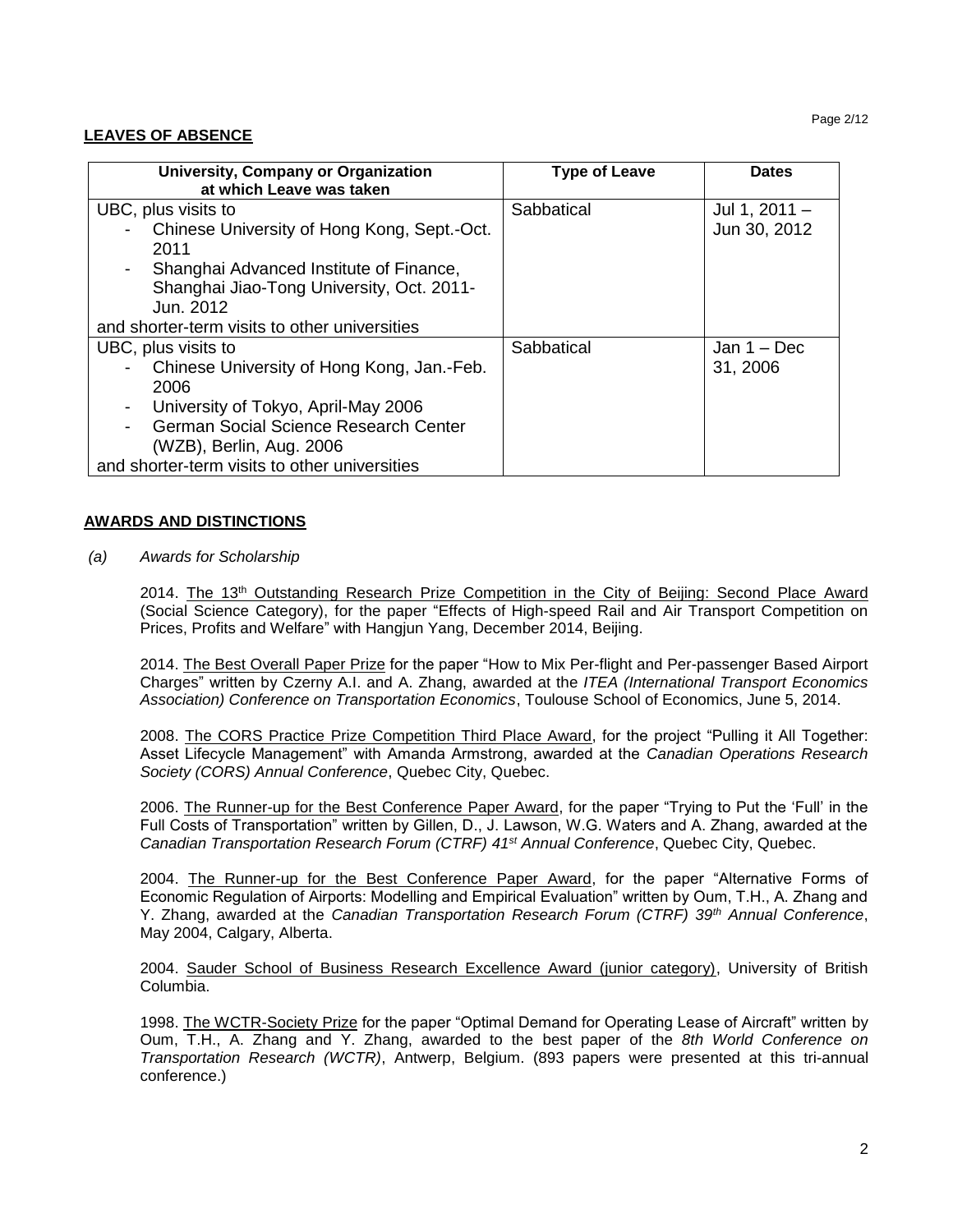#### Page 2/12

# **LEAVES OF ABSENCE**

| University, Company or Organization           | <b>Type of Leave</b> | <b>Dates</b>  |
|-----------------------------------------------|----------------------|---------------|
| at which Leave was taken                      |                      |               |
| UBC, plus visits to                           | Sabbatical           | Jul 1, 2011 - |
| Chinese University of Hong Kong, Sept.-Oct.   |                      | Jun 30, 2012  |
| 2011                                          |                      |               |
| Shanghai Advanced Institute of Finance,       |                      |               |
| Shanghai Jiao-Tong University, Oct. 2011-     |                      |               |
| Jun. 2012                                     |                      |               |
| and shorter-term visits to other universities |                      |               |
| UBC, plus visits to                           | Sabbatical           | Jan $1 - Dec$ |
| Chinese University of Hong Kong, Jan.-Feb.    |                      | 31, 2006      |
| 2006                                          |                      |               |
| University of Tokyo, April-May 2006           |                      |               |
| German Social Science Research Center         |                      |               |
| (WZB), Berlin, Aug. 2006                      |                      |               |
| and shorter-term visits to other universities |                      |               |

#### **AWARDS AND DISTINCTIONS**

*(a) Awards for Scholarship*

2014. The 13<sup>th</sup> Outstanding Research Prize Competition in the City of Beijing: Second Place Award (Social Science Category), for the paper "Effects of High-speed Rail and Air Transport Competition on Prices, Profits and Welfare" with Hangjun Yang, December 2014, Beijing.

2014. The Best Overall Paper Prize for the paper "How to Mix Per-flight and Per-passenger Based Airport Charges" written by Czerny A.I. and A. Zhang, awarded at the *ITEA (International Transport Economics Association) Conference on Transportation Economics*, Toulouse School of Economics, June 5, 2014.

2008. The CORS Practice Prize Competition Third Place Award, for the project "Pulling it All Together: Asset Lifecycle Management" with Amanda Armstrong, awarded at the *Canadian Operations Research Society (CORS) Annual Conference*, Quebec City, Quebec.

2006. The Runner-up for the Best Conference Paper Award, for the paper "Trying to Put the 'Full' in the Full Costs of Transportation" written by Gillen, D., J. Lawson, W.G. Waters and A. Zhang, awarded at the *Canadian Transportation Research Forum (CTRF) 41st Annual Conference*, Quebec City, Quebec.

2004. The Runner-up for the Best Conference Paper Award, for the paper "Alternative Forms of Economic Regulation of Airports: Modelling and Empirical Evaluation" written by Oum, T.H., A. Zhang and Y. Zhang, awarded at the *Canadian Transportation Research Forum (CTRF) 39th Annual Conference*, May 2004, Calgary, Alberta.

2004. Sauder School of Business Research Excellence Award (junior category), University of British Columbia.

1998. The WCTR-Society Prize for the paper "Optimal Demand for Operating Lease of Aircraft" written by Oum, T.H., A. Zhang and Y. Zhang, awarded to the best paper of the *8th World Conference on Transportation Research (WCTR)*, Antwerp, Belgium. (893 papers were presented at this tri-annual conference.)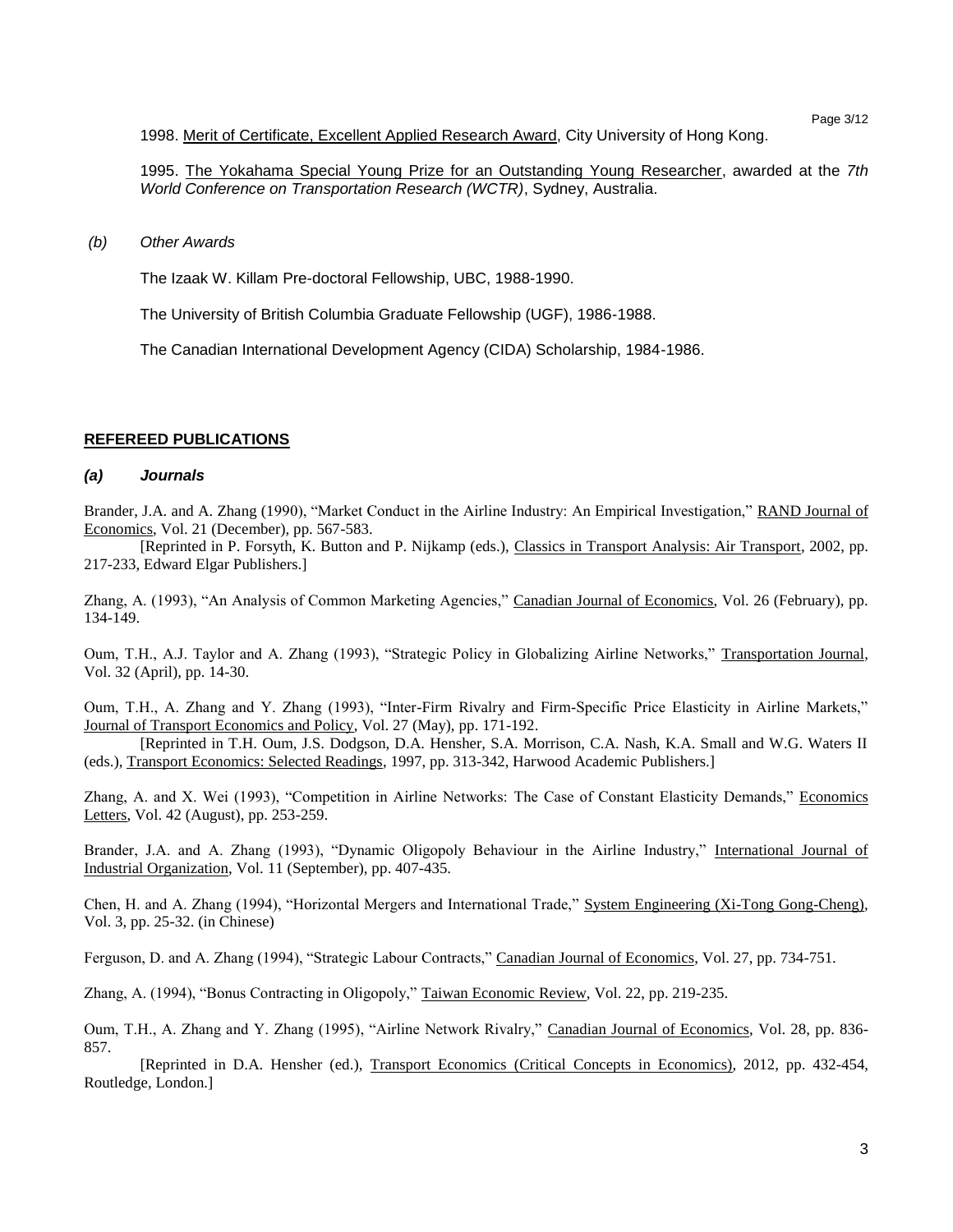1998. Merit of Certificate, Excellent Applied Research Award, City University of Hong Kong.

1995. The Yokahama Special Young Prize for an Outstanding Young Researcher, awarded at the *7th World Conference on Transportation Research (WCTR)*, Sydney, Australia.

*(b) Other Awards*

The Izaak W. Killam Pre-doctoral Fellowship, UBC, 1988-1990.

The University of British Columbia Graduate Fellowship (UGF), 1986-1988.

The Canadian International Development Agency (CIDA) Scholarship, 1984-1986.

#### **REFEREED PUBLICATIONS**

#### *(a) Journals*

Brander, J.A. and A. Zhang (1990), "Market Conduct in the Airline Industry: An Empirical Investigation," RAND Journal of Economics, Vol. 21 (December), pp. 567-583.

[Reprinted in P. Forsyth, K. Button and P. Nijkamp (eds.), Classics in Transport Analysis: Air Transport, 2002, pp. 217-233, Edward Elgar Publishers.]

Zhang, A. (1993), "An Analysis of Common Marketing Agencies," Canadian Journal of Economics, Vol. 26 (February), pp. 134-149.

Oum, T.H., A.J. Taylor and A. Zhang (1993), "Strategic Policy in Globalizing Airline Networks," Transportation Journal, Vol. 32 (April), pp. 14-30.

Oum, T.H., A. Zhang and Y. Zhang (1993), "Inter-Firm Rivalry and Firm-Specific Price Elasticity in Airline Markets," Journal of Transport Economics and Policy, Vol. 27 (May), pp. 171-192.

[Reprinted in T.H. Oum, J.S. Dodgson, D.A. Hensher, S.A. Morrison, C.A. Nash, K.A. Small and W.G. Waters II (eds.), Transport Economics: Selected Readings, 1997, pp. 313-342, Harwood Academic Publishers.]

Zhang, A. and X. Wei (1993), "Competition in Airline Networks: The Case of Constant Elasticity Demands," Economics Letters, Vol. 42 (August), pp. 253-259.

Brander, J.A. and A. Zhang (1993), "Dynamic Oligopoly Behaviour in the Airline Industry," International Journal of Industrial Organization, Vol. 11 (September), pp. 407-435.

Chen, H. and A. Zhang (1994), "Horizontal Mergers and International Trade," System Engineering (Xi-Tong Gong-Cheng), Vol. 3, pp. 25-32. (in Chinese)

Ferguson, D. and A. Zhang (1994), "Strategic Labour Contracts," Canadian Journal of Economics, Vol. 27, pp. 734-751.

Zhang, A. (1994), "Bonus Contracting in Oligopoly," Taiwan Economic Review, Vol. 22, pp. 219-235.

Oum, T.H., A. Zhang and Y. Zhang (1995), "Airline Network Rivalry," Canadian Journal of Economics, Vol. 28, pp. 836- 857.

[Reprinted in D.A. Hensher (ed.), Transport Economics (Critical Concepts in Economics), 2012, pp. 432-454, Routledge, London.]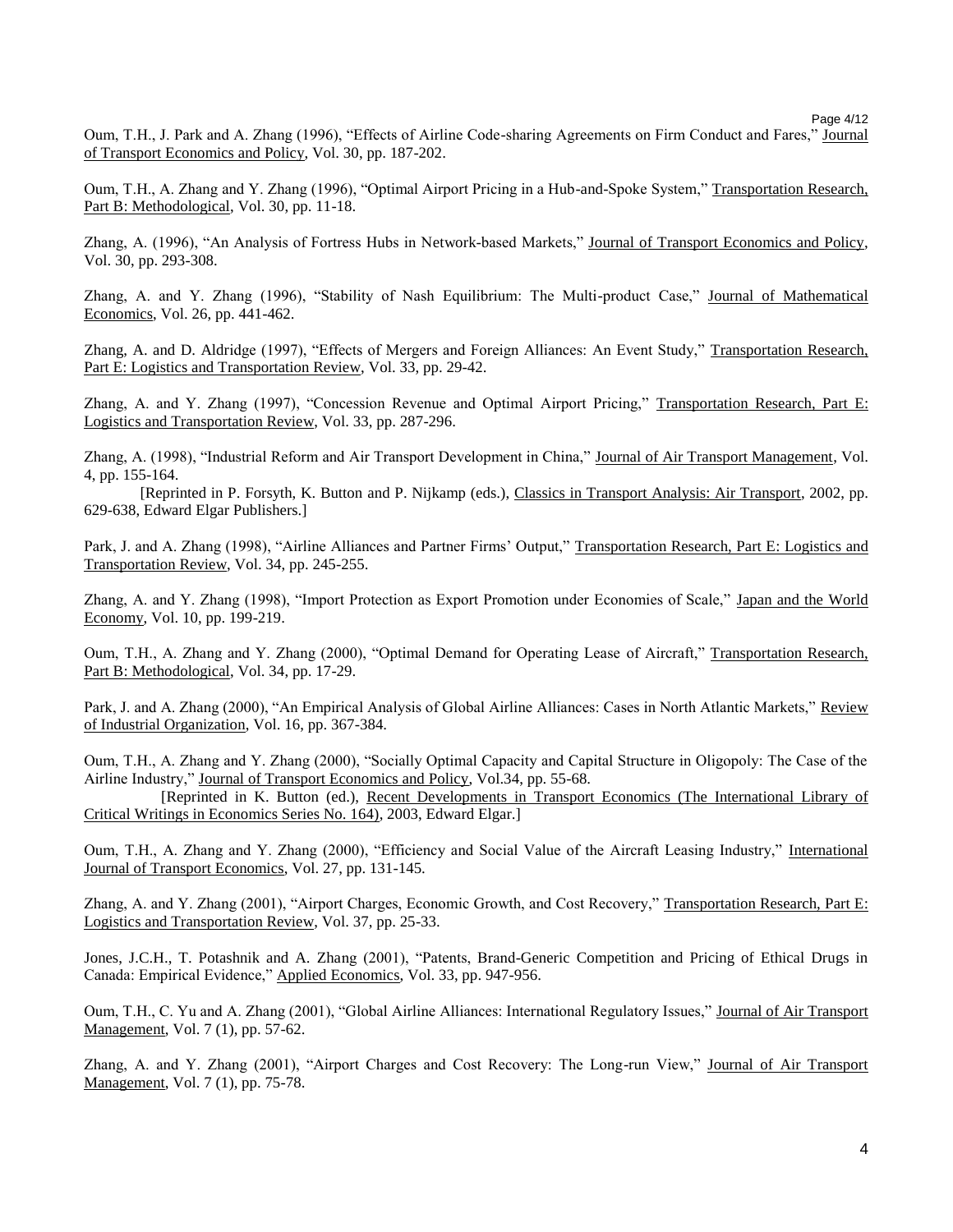Page 4/12

Oum, T.H., J. Park and A. Zhang (1996), "Effects of Airline Code-sharing Agreements on Firm Conduct and Fares," Journal of Transport Economics and Policy, Vol. 30, pp. 187-202.

Oum, T.H., A. Zhang and Y. Zhang (1996), "Optimal Airport Pricing in a Hub-and-Spoke System," Transportation Research, Part B: Methodological, Vol. 30, pp. 11-18.

Zhang, A. (1996), "An Analysis of Fortress Hubs in Network-based Markets," Journal of Transport Economics and Policy, Vol. 30, pp. 293-308.

Zhang, A. and Y. Zhang (1996), "Stability of Nash Equilibrium: The Multi-product Case," Journal of Mathematical Economics, Vol. 26, pp. 441-462.

Zhang, A. and D. Aldridge (1997), "Effects of Mergers and Foreign Alliances: An Event Study," Transportation Research, Part E: Logistics and Transportation Review, Vol. 33, pp. 29-42.

Zhang, A. and Y. Zhang (1997), "Concession Revenue and Optimal Airport Pricing," Transportation Research, Part E: Logistics and Transportation Review, Vol. 33, pp. 287-296.

Zhang, A. (1998), "Industrial Reform and Air Transport Development in China," Journal of Air Transport Management, Vol. 4, pp. 155-164.

[Reprinted in P. Forsyth, K. Button and P. Nijkamp (eds.), Classics in Transport Analysis: Air Transport, 2002, pp. 629-638, Edward Elgar Publishers.]

Park, J. and A. Zhang (1998), "Airline Alliances and Partner Firms' Output," Transportation Research, Part E: Logistics and Transportation Review, Vol. 34, pp. 245-255.

Zhang, A. and Y. Zhang (1998), "Import Protection as Export Promotion under Economies of Scale," Japan and the World Economy, Vol. 10, pp. 199-219.

Oum, T.H., A. Zhang and Y. Zhang (2000), "Optimal Demand for Operating Lease of Aircraft," Transportation Research, Part B: Methodological, Vol. 34, pp. 17-29.

Park, J. and A. Zhang (2000), "An Empirical Analysis of Global Airline Alliances: Cases in North Atlantic Markets," Review of Industrial Organization, Vol. 16, pp. 367-384.

Oum, T.H., A. Zhang and Y. Zhang (2000), "Socially Optimal Capacity and Capital Structure in Oligopoly: The Case of the Airline Industry," Journal of Transport Economics and Policy, Vol.34, pp. 55-68.

[Reprinted in K. Button (ed.), Recent Developments in Transport Economics (The International Library of Critical Writings in Economics Series No. 164), 2003, Edward Elgar.]

Oum, T.H., A. Zhang and Y. Zhang (2000), "Efficiency and Social Value of the Aircraft Leasing Industry," International Journal of Transport Economics, Vol. 27, pp. 131-145.

Zhang, A. and Y. Zhang (2001), "Airport Charges, Economic Growth, and Cost Recovery," Transportation Research, Part E: Logistics and Transportation Review, Vol. 37, pp. 25-33.

Jones, J.C.H., T. Potashnik and A. Zhang (2001), "Patents, Brand-Generic Competition and Pricing of Ethical Drugs in Canada: Empirical Evidence," Applied Economics, Vol. 33, pp. 947-956.

Oum, T.H., C. Yu and A. Zhang (2001), "Global Airline Alliances: International Regulatory Issues," Journal of Air Transport Management, Vol. 7 (1), pp. 57-62.

Zhang, A. and Y. Zhang (2001), "Airport Charges and Cost Recovery: The Long-run View," Journal of Air Transport Management, Vol. 7 (1), pp. 75-78.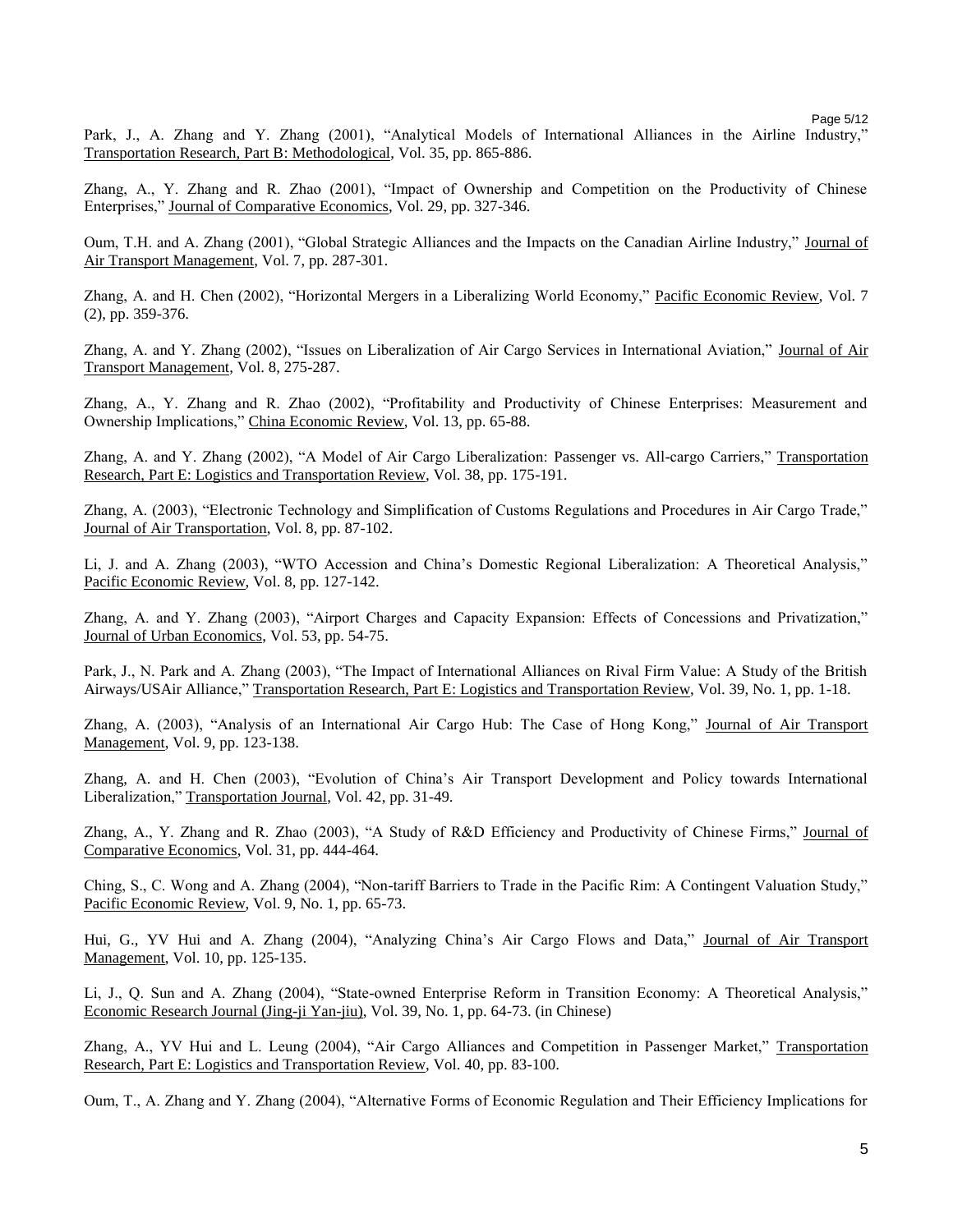Page 5/12

Park, J., A. Zhang and Y. Zhang (2001), "Analytical Models of International Alliances in the Airline Industry," Transportation Research, Part B: Methodological, Vol. 35, pp. 865-886.

Zhang, A., Y. Zhang and R. Zhao (2001), "Impact of Ownership and Competition on the Productivity of Chinese Enterprises," Journal of Comparative Economics, Vol. 29, pp. 327-346.

Oum, T.H. and A. Zhang (2001), "Global Strategic Alliances and the Impacts on the Canadian Airline Industry," Journal of Air Transport Management, Vol. 7, pp. 287-301.

Zhang, A. and H. Chen (2002), "Horizontal Mergers in a Liberalizing World Economy," Pacific Economic Review, Vol. 7 (2), pp. 359-376.

Zhang, A. and Y. Zhang (2002), "Issues on Liberalization of Air Cargo Services in International Aviation," Journal of Air Transport Management, Vol. 8, 275-287.

Zhang, A., Y. Zhang and R. Zhao (2002), "Profitability and Productivity of Chinese Enterprises: Measurement and Ownership Implications," China Economic Review, Vol. 13, pp. 65-88.

Zhang, A. and Y. Zhang (2002), "A Model of Air Cargo Liberalization: Passenger vs. All-cargo Carriers," Transportation Research, Part E: Logistics and Transportation Review, Vol. 38, pp. 175-191.

Zhang, A. (2003), "Electronic Technology and Simplification of Customs Regulations and Procedures in Air Cargo Trade," Journal of Air Transportation, Vol. 8, pp. 87-102.

Li, J. and A. Zhang (2003), "WTO Accession and China's Domestic Regional Liberalization: A Theoretical Analysis," Pacific Economic Review, Vol. 8, pp. 127-142.

Zhang, A. and Y. Zhang (2003), "Airport Charges and Capacity Expansion: Effects of Concessions and Privatization," Journal of Urban Economics, Vol. 53, pp. 54-75.

Park, J., N. Park and A. Zhang (2003), "The Impact of International Alliances on Rival Firm Value: A Study of the British Airways/USAir Alliance," Transportation Research, Part E: Logistics and Transportation Review, Vol. 39, No. 1, pp. 1-18.

Zhang, A. (2003), "Analysis of an International Air Cargo Hub: The Case of Hong Kong," Journal of Air Transport Management, Vol. 9, pp. 123-138.

Zhang, A. and H. Chen (2003), "Evolution of China's Air Transport Development and Policy towards International Liberalization," Transportation Journal, Vol. 42, pp. 31-49.

Zhang, A., Y. Zhang and R. Zhao (2003), "A Study of R&D Efficiency and Productivity of Chinese Firms," Journal of Comparative Economics, Vol. 31, pp. 444-464.

Ching, S., C. Wong and A. Zhang (2004), "Non-tariff Barriers to Trade in the Pacific Rim: A Contingent Valuation Study," Pacific Economic Review, Vol. 9, No. 1, pp. 65-73.

Hui, G., YV Hui and A. Zhang (2004), "Analyzing China's Air Cargo Flows and Data," Journal of Air Transport Management, Vol. 10, pp. 125-135.

Li, J., Q. Sun and A. Zhang (2004), "State-owned Enterprise Reform in Transition Economy: A Theoretical Analysis," Economic Research Journal (Jing-ji Yan-jiu), Vol. 39, No. 1, pp. 64-73. (in Chinese)

Zhang, A., YV Hui and L. Leung (2004), "Air Cargo Alliances and Competition in Passenger Market," Transportation Research, Part E: Logistics and Transportation Review, Vol. 40, pp. 83-100.

Oum, T., A. Zhang and Y. Zhang (2004), "Alternative Forms of Economic Regulation and Their Efficiency Implications for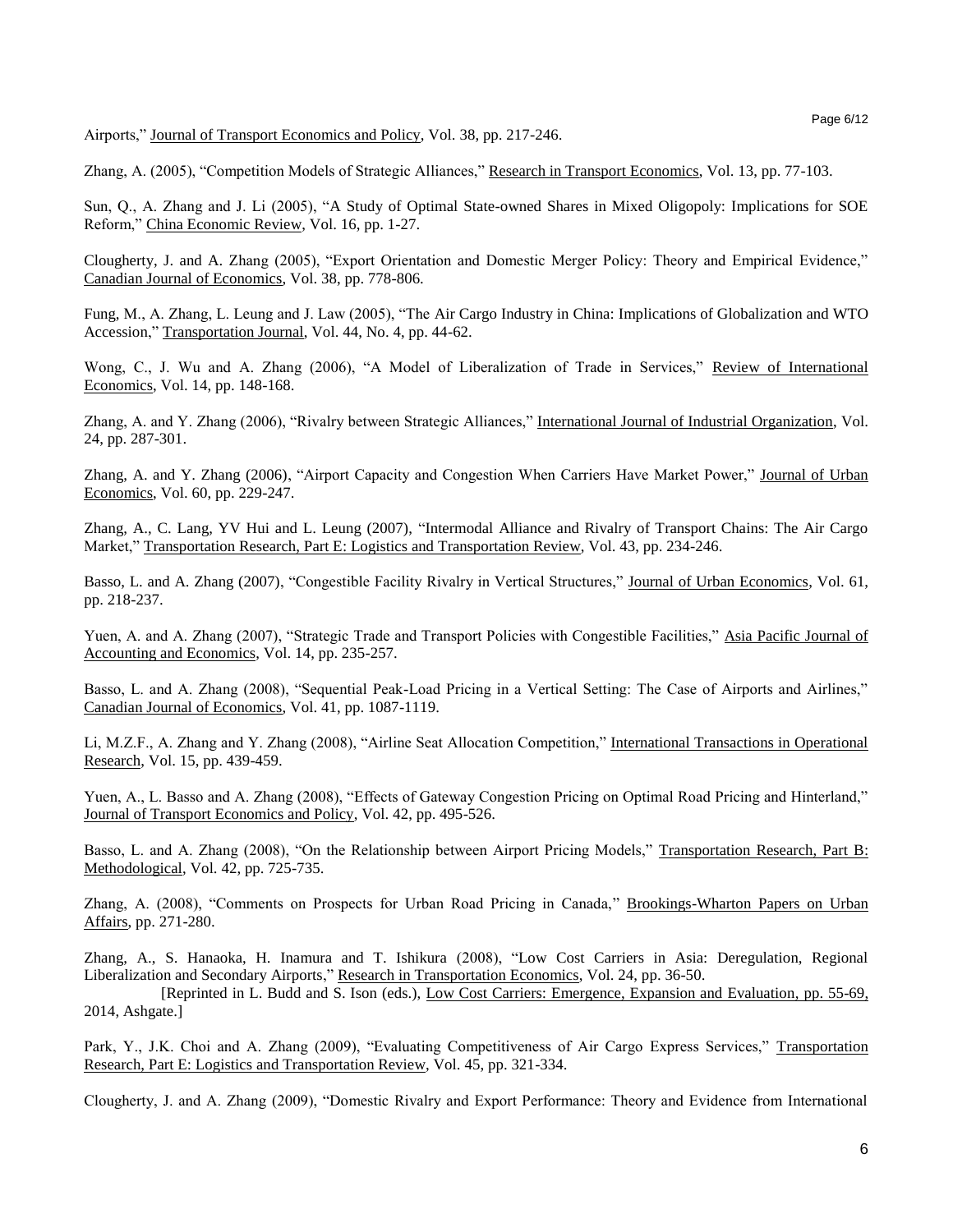Airports," Journal of Transport Economics and Policy, Vol. 38, pp. 217-246.

Zhang, A. (2005), "Competition Models of Strategic Alliances," Research in Transport Economics, Vol. 13, pp. 77-103.

Sun, Q., A. Zhang and J. Li (2005), "A Study of Optimal State-owned Shares in Mixed Oligopoly: Implications for SOE Reform," China Economic Review, Vol. 16, pp. 1-27.

Clougherty, J. and A. Zhang (2005), "Export Orientation and Domestic Merger Policy: Theory and Empirical Evidence," Canadian Journal of Economics, Vol. 38, pp. 778-806.

Fung, M., A. Zhang, L. Leung and J. Law (2005), "The Air Cargo Industry in China: Implications of Globalization and WTO Accession," Transportation Journal, Vol. 44, No. 4, pp. 44-62.

Wong, C., J. Wu and A. Zhang (2006), "A Model of Liberalization of Trade in Services," Review of International Economics, Vol. 14, pp. 148-168.

Zhang, A. and Y. Zhang (2006), "Rivalry between Strategic Alliances," International Journal of Industrial Organization, Vol. 24, pp. 287-301.

Zhang, A. and Y. Zhang (2006), "Airport Capacity and Congestion When Carriers Have Market Power," Journal of Urban Economics, Vol. 60, pp. 229-247.

Zhang, A., C. Lang, YV Hui and L. Leung (2007), "Intermodal Alliance and Rivalry of Transport Chains: The Air Cargo Market," Transportation Research, Part E: Logistics and Transportation Review, Vol. 43, pp. 234-246.

Basso, L. and A. Zhang (2007), "Congestible Facility Rivalry in Vertical Structures," Journal of Urban Economics, Vol. 61, pp. 218-237.

Yuen, A. and A. Zhang (2007), "Strategic Trade and Transport Policies with Congestible Facilities," Asia Pacific Journal of Accounting and Economics, Vol. 14, pp. 235-257.

Basso, L. and A. Zhang (2008), "Sequential Peak-Load Pricing in a Vertical Setting: The Case of Airports and Airlines," Canadian Journal of Economics, Vol. 41, pp. 1087-1119.

Li, M.Z.F., A. Zhang and Y. Zhang (2008), "Airline Seat Allocation Competition," International Transactions in Operational Research, Vol. 15, pp. 439-459.

Yuen, A., L. Basso and A. Zhang (2008), "Effects of Gateway Congestion Pricing on Optimal Road Pricing and Hinterland," Journal of Transport Economics and Policy, Vol. 42, pp. 495-526.

Basso, L. and A. Zhang (2008), "On the Relationship between Airport Pricing Models," Transportation Research, Part B: Methodological, Vol. 42, pp. 725-735.

Zhang, A. (2008), "Comments on Prospects for Urban Road Pricing in Canada," Brookings-Wharton Papers on Urban Affairs, pp. 271-280.

Zhang, A., S. Hanaoka, H. Inamura and T. Ishikura (2008), "Low Cost Carriers in Asia: Deregulation, Regional Liberalization and Secondary Airports," Research in Transportation Economics, Vol. 24, pp. 36-50.

[Reprinted in L. Budd and S. Ison (eds.), Low Cost Carriers: Emergence, Expansion and Evaluation, pp. 55-69, 2014, Ashgate.]

Park, Y., J.K. Choi and A. Zhang (2009), "Evaluating Competitiveness of Air Cargo Express Services," Transportation Research, Part E: Logistics and Transportation Review, Vol. 45, pp. 321-334.

Clougherty, J. and A. Zhang (2009), "Domestic Rivalry and Export Performance: Theory and Evidence from International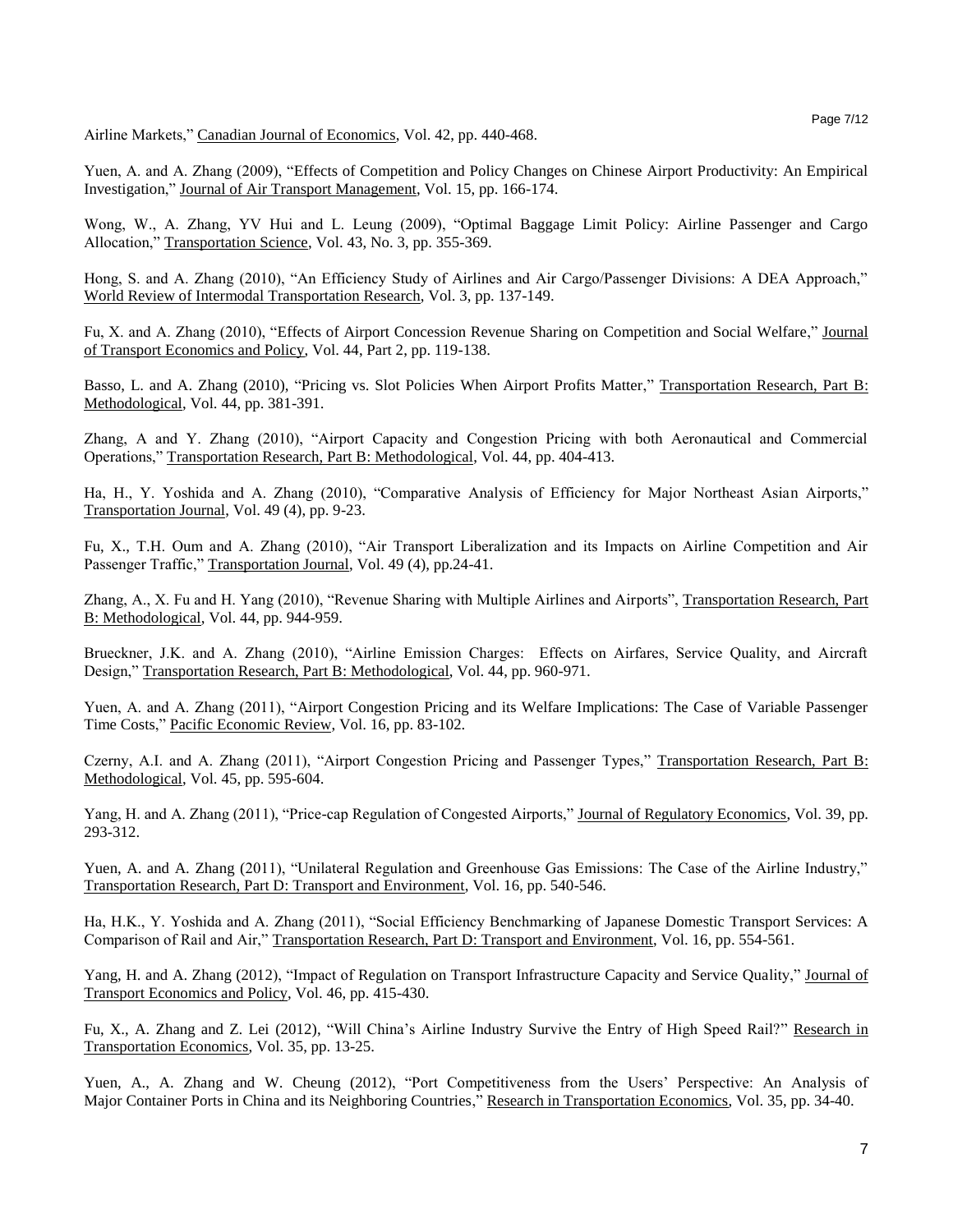Airline Markets," Canadian Journal of Economics, Vol. 42, pp. 440-468.

Yuen, A. and A. Zhang (2009), "Effects of Competition and Policy Changes on Chinese Airport Productivity: An Empirical Investigation," Journal of Air Transport Management, Vol. 15, pp. 166-174.

Wong, W., A. Zhang, YV Hui and L. Leung (2009), "Optimal Baggage Limit Policy: Airline Passenger and Cargo Allocation," Transportation Science, Vol. 43, No. 3, pp. 355-369.

Hong, S. and A. Zhang (2010), "An Efficiency Study of Airlines and Air Cargo/Passenger Divisions: A DEA Approach," World Review of Intermodal Transportation Research, Vol. 3, pp. 137-149.

Fu, X. and A. Zhang (2010), "Effects of Airport Concession Revenue Sharing on Competition and Social Welfare," Journal of Transport Economics and Policy, Vol. 44, Part 2, pp. 119-138.

Basso, L. and A. Zhang (2010), "Pricing vs. Slot Policies When Airport Profits Matter," Transportation Research, Part B: Methodological, Vol. 44, pp. 381-391.

Zhang, A and Y. Zhang (2010), "Airport Capacity and Congestion Pricing with both Aeronautical and Commercial Operations," Transportation Research, Part B: Methodological, Vol. 44, pp. 404-413.

Ha, H., Y. Yoshida and A. Zhang (2010), "Comparative Analysis of Efficiency for Major Northeast Asian Airports," Transportation Journal, Vol. 49 (4), pp. 9-23.

Fu, X., T.H. Oum and A. Zhang (2010), "Air Transport Liberalization and its Impacts on Airline Competition and Air Passenger Traffic," Transportation Journal, Vol. 49 (4), pp.24-41.

Zhang, A., X. Fu and H. Yang (2010), "Revenue Sharing with Multiple Airlines and Airports", Transportation Research, Part B: Methodological, Vol. 44, pp. 944-959.

Brueckner, J.K. and A. Zhang (2010), "Airline Emission Charges: Effects on Airfares, Service Quality, and Aircraft Design," Transportation Research, Part B: Methodological, Vol. 44, pp. 960-971.

Yuen, A. and A. Zhang (2011), "Airport Congestion Pricing and its Welfare Implications: The Case of Variable Passenger Time Costs," Pacific Economic Review, Vol. 16, pp. 83-102.

Czerny, A.I. and A. Zhang (2011), "Airport Congestion Pricing and Passenger Types," Transportation Research, Part B: Methodological, Vol. 45, pp. 595-604.

Yang, H. and A. Zhang (2011), "Price-cap Regulation of Congested Airports," Journal of Regulatory Economics, Vol. 39, pp. 293-312.

Yuen, A. and A. Zhang (2011), "Unilateral Regulation and Greenhouse Gas Emissions: The Case of the Airline Industry," Transportation Research, Part D: Transport and Environment, Vol. 16, pp. 540-546.

Ha, H.K., Y. Yoshida and A. Zhang (2011), "Social Efficiency Benchmarking of Japanese Domestic Transport Services: A Comparison of Rail and Air," Transportation Research, Part D: Transport and Environment, Vol. 16, pp. 554-561.

Yang, H. and A. Zhang (2012), "Impact of Regulation on Transport Infrastructure Capacity and Service Quality," Journal of Transport Economics and Policy, Vol. 46, pp. 415-430.

Fu, X., A. Zhang and Z. Lei (2012), "Will China's Airline Industry Survive the Entry of High Speed Rail?" Research in Transportation Economics, Vol. 35, pp. 13-25.

Yuen, A., A. Zhang and W. Cheung (2012), "Port Competitiveness from the Users' Perspective: An Analysis of Major Container Ports in China and its Neighboring Countries," Research in Transportation Economics, Vol. 35, pp. 34-40.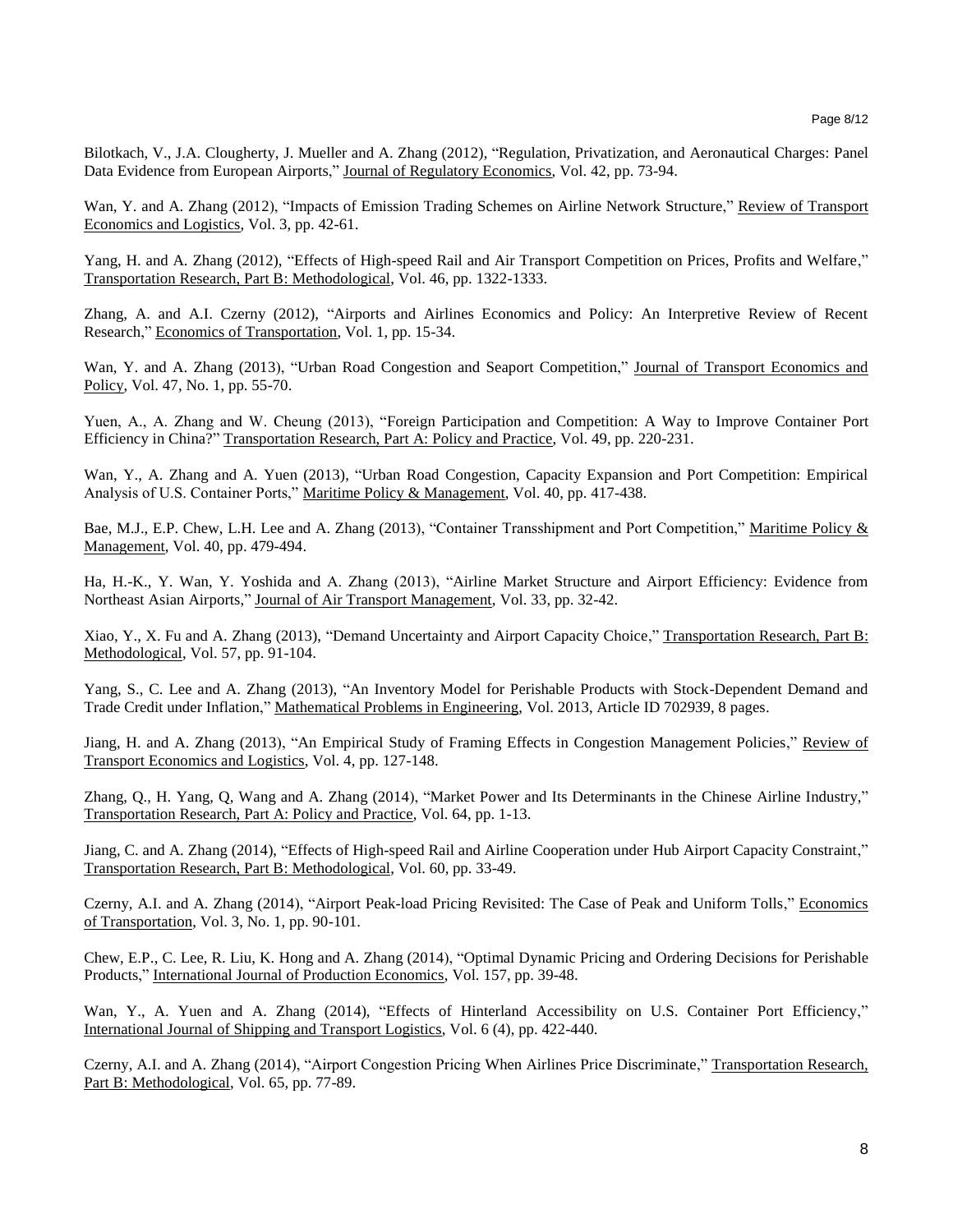Bilotkach, V., J.A. Clougherty, J. Mueller and A. Zhang (2012), "Regulation, Privatization, and Aeronautical Charges: Panel Data Evidence from European Airports," Journal of Regulatory Economics, Vol. 42, pp. 73-94.

Wan, Y. and A. Zhang (2012), "Impacts of Emission Trading Schemes on Airline Network Structure," Review of Transport Economics and Logistics, Vol. 3, pp. 42-61.

Yang, H. and A. Zhang (2012), "Effects of High-speed Rail and Air Transport Competition on Prices, Profits and Welfare," Transportation Research, Part B: Methodological, Vol. 46, pp. 1322-1333.

Zhang, A. and A.I. Czerny (2012), "Airports and Airlines Economics and Policy: An Interpretive Review of Recent Research," Economics of Transportation, Vol. 1, pp. 15-34.

Wan, Y. and A. Zhang (2013), "Urban Road Congestion and Seaport Competition," Journal of Transport Economics and Policy, Vol. 47, No. 1, pp. 55-70.

Yuen, A., A. Zhang and W. Cheung (2013), "Foreign Participation and Competition: A Way to Improve Container Port Efficiency in China?" Transportation Research, Part A: Policy and Practice, Vol. 49, pp. 220-231.

Wan, Y., A. Zhang and A. Yuen (2013), "Urban Road Congestion, Capacity Expansion and Port Competition: Empirical Analysis of U.S. Container Ports," Maritime Policy & Management, Vol. 40, pp. 417-438.

Bae, M.J., E.P. Chew, L.H. Lee and A. Zhang (2013), "Container Transshipment and Port Competition," Maritime Policy & Management, Vol. 40, pp. 479-494.

Ha, H.-K., Y. Wan, Y. Yoshida and A. Zhang (2013), "Airline Market Structure and Airport Efficiency: Evidence from Northeast Asian Airports," Journal of Air Transport Management, Vol. 33, pp. 32-42.

Xiao, Y., X. Fu and A. Zhang (2013), "Demand Uncertainty and Airport Capacity Choice," Transportation Research, Part B: Methodological, Vol. 57, pp. 91-104.

Yang, S., C. Lee and A. Zhang (2013), "An Inventory Model for Perishable Products with Stock-Dependent Demand and Trade Credit under Inflation," Mathematical Problems in Engineering, Vol. 2013, Article ID 702939, 8 pages.

Jiang, H. and A. Zhang (2013), "An Empirical Study of Framing Effects in Congestion Management Policies," Review of Transport Economics and Logistics, Vol. 4, pp. 127-148.

Zhang, Q., H. Yang, Q, Wang and A. Zhang (2014), "Market Power and Its Determinants in the Chinese Airline Industry," Transportation Research, Part A: Policy and Practice, Vol. 64, pp. 1-13.

Jiang, C. and A. Zhang (2014), "Effects of High-speed Rail and Airline Cooperation under Hub Airport Capacity Constraint," Transportation Research, Part B: Methodological, Vol. 60, pp. 33-49.

Czerny, A.I. and A. Zhang (2014), "Airport Peak-load Pricing Revisited: The Case of Peak and Uniform Tolls," Economics of Transportation, Vol. 3, No. 1, pp. 90-101.

Chew, E.P., C. Lee, R. Liu, K. Hong and A. Zhang (2014), "Optimal Dynamic Pricing and Ordering Decisions for Perishable Products," International Journal of Production Economics, Vol. 157, pp. 39-48.

Wan, Y., A. Yuen and A. Zhang (2014), "Effects of Hinterland Accessibility on U.S. Container Port Efficiency," International Journal of Shipping and Transport Logistics, Vol. 6 (4), pp. 422-440.

Czerny, A.I. and A. Zhang (2014), "Airport Congestion Pricing When Airlines Price Discriminate," Transportation Research, Part B: Methodological, Vol. 65, pp. 77-89.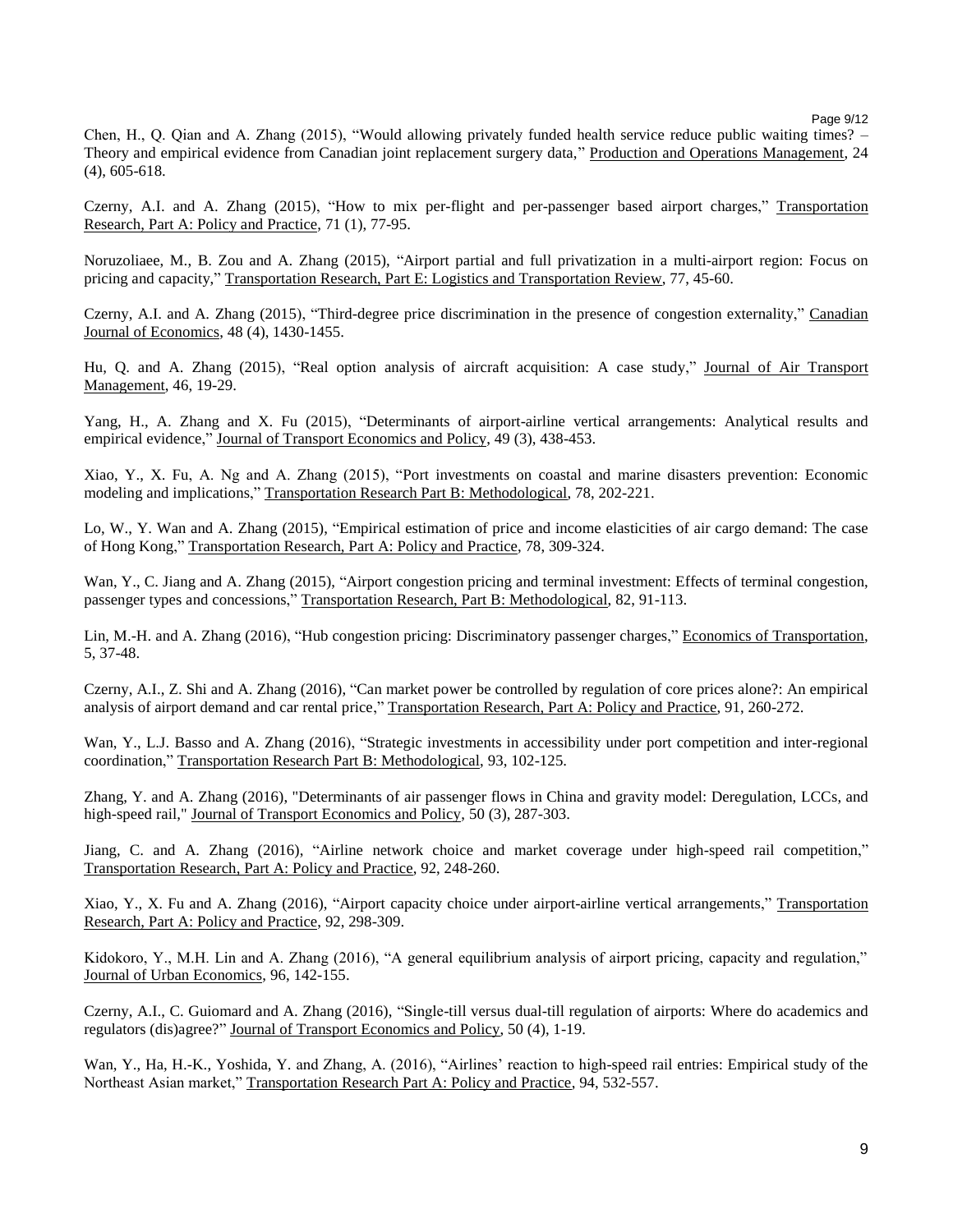Page 9/12

Chen, H., Q. Qian and A. Zhang (2015), "Would allowing privately funded health service reduce public waiting times? – Theory and empirical evidence from Canadian joint replacement surgery data," Production and Operations Management, 24 (4), 605-618.

Czerny, A.I. and A. Zhang (2015), "How to mix per-flight and per-passenger based airport charges," Transportation Research, Part A: Policy and Practice, 71 (1), 77-95.

Noruzoliaee, M., B. Zou and A. Zhang (2015), "Airport partial and full privatization in a multi-airport region: Focus on pricing and capacity," Transportation Research, Part E: Logistics and Transportation Review, 77, 45-60.

Czerny, A.I. and A. Zhang (2015), "Third-degree price discrimination in the presence of congestion externality," Canadian Journal of Economics, 48 (4), 1430-1455.

Hu, Q. and A. Zhang (2015), "Real option analysis of aircraft acquisition: A case study," Journal of Air Transport Management, 46, 19-29.

Yang, H., A. Zhang and X. Fu (2015), "Determinants of airport-airline vertical arrangements: Analytical results and empirical evidence," Journal of Transport Economics and Policy, 49 (3), 438-453.

Xiao, Y., X. Fu, A. Ng and A. Zhang (2015), "Port investments on coastal and marine disasters prevention: Economic modeling and implications," Transportation Research Part B: Methodological, 78, 202-221.

Lo, W., Y. Wan and A. Zhang (2015), "Empirical estimation of price and income elasticities of air cargo demand: The case of Hong Kong," Transportation Research, Part A: Policy and Practice, 78, 309-324.

Wan, Y., C. Jiang and A. Zhang (2015), "Airport congestion pricing and terminal investment: Effects of terminal congestion, passenger types and concessions," Transportation Research, Part B: Methodological, 82, 91-113.

Lin, M.-H. and A. Zhang (2016), "Hub congestion pricing: Discriminatory passenger charges," Economics of Transportation, 5, 37-48.

Czerny, A.I., Z. Shi and A. Zhang (2016), "Can market power be controlled by regulation of core prices alone?: An empirical analysis of airport demand and car rental price," Transportation Research, Part A: Policy and Practice, 91, 260-272.

Wan, Y., L.J. Basso and A. Zhang (2016), "Strategic investments in accessibility under port competition and inter-regional coordination," Transportation Research Part B: Methodological, 93, 102-125.

Zhang, Y. and A. Zhang (2016), "Determinants of air passenger flows in China and gravity model: Deregulation, LCCs, and high-speed rail," Journal of Transport Economics and Policy, 50 (3), 287-303.

Jiang, C. and A. Zhang (2016), "Airline network choice and market coverage under high-speed rail competition," Transportation Research, Part A: Policy and Practice, 92, 248-260.

Xiao, Y., X. Fu and A. Zhang (2016), "Airport capacity choice under airport-airline vertical arrangements," Transportation Research, Part A: Policy and Practice, 92, 298-309.

Kidokoro, Y., M.H. Lin and A. Zhang (2016), "A general equilibrium analysis of airport pricing, capacity and regulation," Journal of Urban Economics, 96, 142-155.

Czerny, A.I., C. Guiomard and A. Zhang (2016), "Single-till versus dual-till regulation of airports: Where do academics and regulators (dis)agree?" Journal of Transport Economics and Policy, 50 (4), 1-19.

Wan, Y., Ha, H.-K., Yoshida, Y. and Zhang, A. (2016), "Airlines' reaction to high-speed rail entries: Empirical study of the Northeast Asian market," Transportation Research Part A: Policy and Practice, 94, 532-557.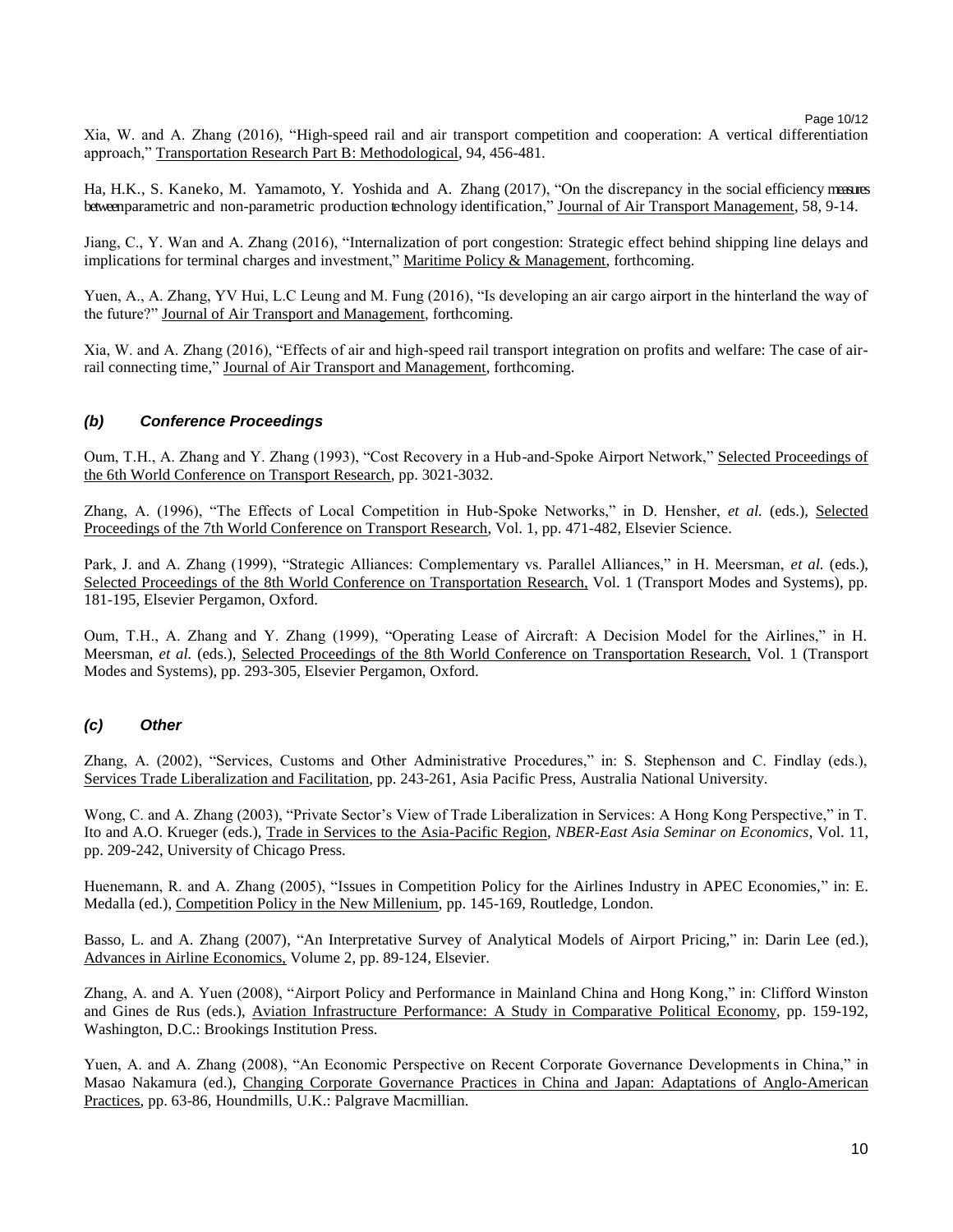Page 10/12

Xia, W. and A. Zhang (2016), "High-speed rail and air transport competition and cooperation: A vertical differentiation approach," Transportation Research Part B: Methodological, 94, 456-481.

Ha, H.K., S. Kaneko, M. Yamamoto, Y. Yoshida and A. Zhang (2017), "On the discrepancy in the social efficiency measures between parametric and non-parametric production technology identification," Journal of Air Transport Management, 58, 9-14.

Jiang, C., Y. Wan and A. Zhang (2016), "Internalization of port congestion: Strategic effect behind shipping line delays and implications for terminal charges and investment," Maritime Policy & Management, forthcoming.

Yuen, A., A. Zhang, YV Hui, L.C Leung and M. Fung (2016), "Is developing an air cargo airport in the hinterland the way of the future?" Journal of Air Transport and Management, forthcoming.

Xia, W. and A. Zhang (2016), "Effects of air and high-speed rail transport integration on profits and welfare: The case of airrail connecting time," Journal of Air Transport and Management, forthcoming.

#### *(b) Conference Proceedings*

Oum, T.H., A. Zhang and Y. Zhang (1993), "Cost Recovery in a Hub-and-Spoke Airport Network," Selected Proceedings of the 6th World Conference on Transport Research, pp. 3021-3032.

Zhang, A. (1996), "The Effects of Local Competition in Hub-Spoke Networks," in D. Hensher, *et al.* (eds.), Selected Proceedings of the 7th World Conference on Transport Research, Vol. 1, pp. 471-482, Elsevier Science.

Park, J. and A. Zhang (1999), "Strategic Alliances: Complementary vs. Parallel Alliances," in H. Meersman, *et al.* (eds.), Selected Proceedings of the 8th World Conference on Transportation Research, Vol. 1 (Transport Modes and Systems), pp. 181-195, Elsevier Pergamon, Oxford.

Oum, T.H., A. Zhang and Y. Zhang (1999), "Operating Lease of Aircraft: A Decision Model for the Airlines," in H. Meersman, *et al.* (eds.), Selected Proceedings of the 8th World Conference on Transportation Research, Vol. 1 (Transport Modes and Systems), pp. 293-305, Elsevier Pergamon, Oxford.

#### *(c) Other*

Zhang, A. (2002), "Services, Customs and Other Administrative Procedures," in: S. Stephenson and C. Findlay (eds.), Services Trade Liberalization and Facilitation, pp. 243-261, Asia Pacific Press, Australia National University.

Wong, C. and A. Zhang (2003), "Private Sector's View of Trade Liberalization in Services: A Hong Kong Perspective," in T. Ito and A.O. Krueger (eds.), Trade in Services to the Asia-Pacific Region, *NBER-East Asia Seminar on Economics*, Vol. 11, pp. 209-242, University of Chicago Press.

Huenemann, R. and A. Zhang (2005), "Issues in Competition Policy for the Airlines Industry in APEC Economies," in: E. Medalla (ed.), Competition Policy in the New Millenium, pp. 145-169, Routledge, London.

Basso, L. and A. Zhang (2007), "An Interpretative Survey of Analytical Models of Airport Pricing," in: Darin Lee (ed.), Advances in Airline Economics, Volume 2, pp. 89-124, Elsevier.

Zhang, A. and A. Yuen (2008), "Airport Policy and Performance in Mainland China and Hong Kong," in: Clifford Winston and Gines de Rus (eds.), Aviation Infrastructure Performance: A Study in Comparative Political Economy, pp. 159-192, Washington, D.C.: Brookings Institution Press.

Yuen, A. and A. Zhang (2008), "An Economic Perspective on Recent Corporate Governance Developments in China," in Masao Nakamura (ed.), Changing Corporate Governance Practices in China and Japan: Adaptations of Anglo-American Practices, pp. 63-86, Houndmills, U.K.: Palgrave Macmillian.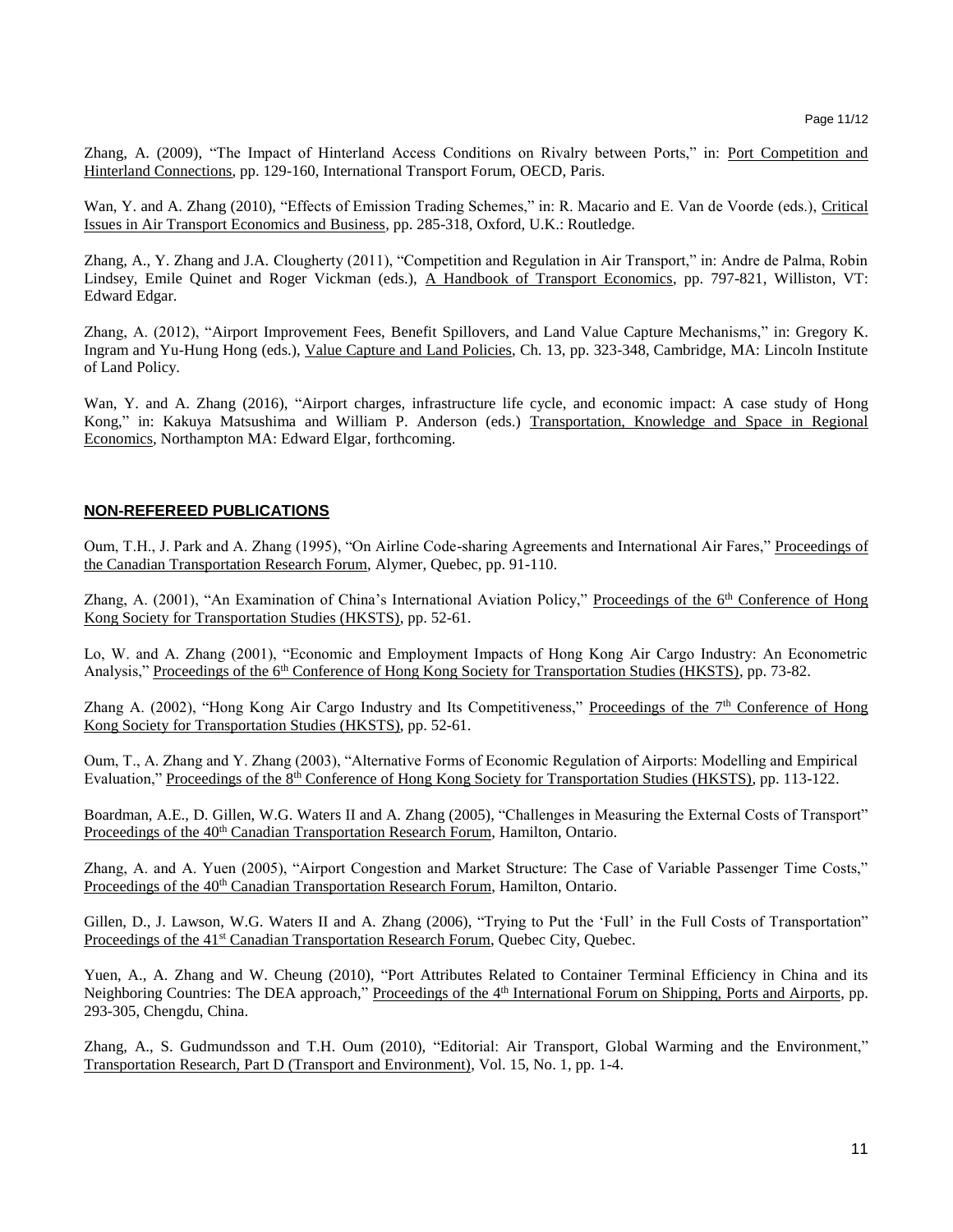Zhang, A. (2009), "The Impact of Hinterland Access Conditions on Rivalry between Ports," in: Port Competition and Hinterland Connections, pp. 129-160, International Transport Forum, OECD, Paris.

Wan, Y. and A. Zhang (2010), "Effects of Emission Trading Schemes," in: R. Macario and E. Van de Voorde (eds.), Critical Issues in Air Transport Economics and Business, pp. 285-318, Oxford, U.K.: Routledge.

Zhang, A., Y. Zhang and J.A. Clougherty (2011), "Competition and Regulation in Air Transport," in: Andre de Palma, Robin Lindsey, Emile Quinet and Roger Vickman (eds.), A Handbook of Transport Economics, pp. 797-821, Williston, VT: Edward Edgar.

Zhang, A. (2012), "Airport Improvement Fees, Benefit Spillovers, and Land Value Capture Mechanisms," in: Gregory K. Ingram and Yu-Hung Hong (eds.), Value Capture and Land Policies, Ch. 13, pp. 323-348, Cambridge, MA: Lincoln Institute of Land Policy.

Wan, Y. and A. Zhang (2016), "Airport charges, infrastructure life cycle, and economic impact: A case study of Hong Kong," in: Kakuya Matsushima and William P. Anderson (eds.) Transportation, Knowledge and Space in Regional Economics*,* Northampton MA: Edward Elgar, forthcoming.

#### **NON-REFEREED PUBLICATIONS**

Oum, T.H., J. Park and A. Zhang (1995), "On Airline Code-sharing Agreements and International Air Fares," Proceedings of the Canadian Transportation Research Forum, Alymer, Quebec, pp. 91-110.

Zhang, A. (2001), "An Examination of China's International Aviation Policy," Proceedings of the 6<sup>th</sup> Conference of Hong Kong Society for Transportation Studies (HKSTS), pp. 52-61.

Lo, W. and A. Zhang (2001), "Economic and Employment Impacts of Hong Kong Air Cargo Industry: An Econometric Analysis," Proceedings of the 6<sup>th</sup> Conference of Hong Kong Society for Transportation Studies (HKSTS), pp. 73-82.

Zhang A. (2002), "Hong Kong Air Cargo Industry and Its Competitiveness," Proceedings of the 7<sup>th</sup> Conference of Hong Kong Society for Transportation Studies (HKSTS), pp. 52-61.

Oum, T., A. Zhang and Y. Zhang (2003), "Alternative Forms of Economic Regulation of Airports: Modelling and Empirical Evaluation," Proceedings of the 8<sup>th</sup> Conference of Hong Kong Society for Transportation Studies (HKSTS), pp. 113-122.

Boardman, A.E., D. Gillen, W.G. Waters II and A. Zhang (2005), "Challenges in Measuring the External Costs of Transport" Proceedings of the 40<sup>th</sup> Canadian Transportation Research Forum, Hamilton, Ontario.

Zhang, A. and A. Yuen (2005), "Airport Congestion and Market Structure: The Case of Variable Passenger Time Costs," Proceedings of the 40<sup>th</sup> Canadian Transportation Research Forum, Hamilton, Ontario.

Gillen, D., J. Lawson, W.G. Waters II and A. Zhang (2006), "Trying to Put the 'Full' in the Full Costs of Transportation" Proceedings of the 41<sup>st</sup> Canadian Transportation Research Forum, Quebec City, Quebec.

Yuen, A., A. Zhang and W. Cheung (2010), "Port Attributes Related to Container Terminal Efficiency in China and its Neighboring Countries: The DEA approach," Proceedings of the 4<sup>th</sup> International Forum on Shipping, Ports and Airports, pp. 293-305, Chengdu, China.

Zhang, A., S. Gudmundsson and T.H. Oum (2010), "Editorial: Air Transport, Global Warming and the Environment," Transportation Research, Part D (Transport and Environment), Vol. 15, No. 1, pp. 1-4.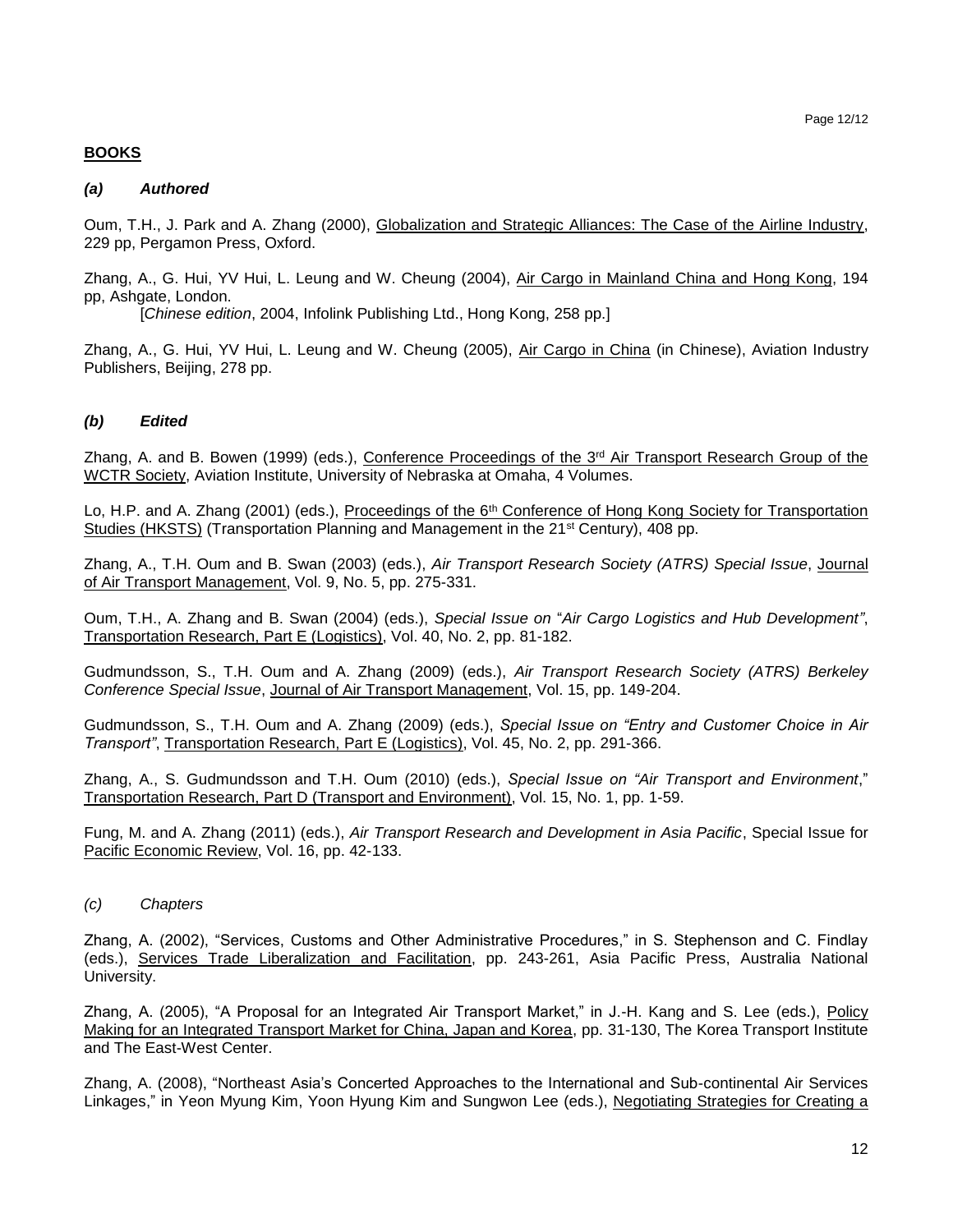#### Page 12/12

## **BOOKS**

### *(a) Authored*

Oum, T.H., J. Park and A. Zhang (2000), Globalization and Strategic Alliances: The Case of the Airline Industry, 229 pp, Pergamon Press, Oxford.

Zhang, A., G. Hui, YV Hui, L. Leung and W. Cheung (2004), Air Cargo in Mainland China and Hong Kong, 194 pp, Ashgate, London.

[*Chinese edition*, 2004, Infolink Publishing Ltd., Hong Kong, 258 pp.]

Zhang, A., G. Hui, YV Hui, L. Leung and W. Cheung (2005), Air Cargo in China (in Chinese), Aviation Industry Publishers, Beijing, 278 pp.

## *(b) Edited*

Zhang, A. and B. Bowen (1999) (eds.), Conference Proceedings of the 3<sup>rd</sup> Air Transport Research Group of the WCTR Society, Aviation Institute, University of Nebraska at Omaha, 4 Volumes.

Lo, H.P. and A. Zhang (2001) (eds.), Proceedings of the 6<sup>th</sup> Conference of Hong Kong Society for Transportation Studies (HKSTS) (Transportation Planning and Management in the 21st Century), 408 pp.

Zhang, A., T.H. Oum and B. Swan (2003) (eds.), *Air Transport Research Society (ATRS) Special Issue*, Journal of Air Transport Management, Vol. 9, No. 5, pp. 275-331.

Oum, T.H., A. Zhang and B. Swan (2004) (eds.), *Special Issue on* "*Air Cargo Logistics and Hub Development"*, Transportation Research, Part E (Logistics), Vol. 40, No. 2, pp. 81-182.

Gudmundsson, S., T.H. Oum and A. Zhang (2009) (eds.), *Air Transport Research Society (ATRS) Berkeley Conference Special Issue*, Journal of Air Transport Management, Vol. 15, pp. 149-204.

Gudmundsson, S., T.H. Oum and A. Zhang (2009) (eds.), *Special Issue on "Entry and Customer Choice in Air Transport"*, Transportation Research, Part E (Logistics), Vol. 45, No. 2, pp. 291-366.

Zhang, A., S. Gudmundsson and T.H. Oum (2010) (eds.), *Special Issue on "Air Transport and Environment*," Transportation Research, Part D (Transport and Environment), Vol. 15, No. 1, pp. 1-59.

Fung, M. and A. Zhang (2011) (eds.), *Air Transport Research and Development in Asia Pacific*, Special Issue for Pacific Economic Review, Vol. 16, pp. 42-133.

*(c) Chapters*

Zhang, A. (2002), "Services, Customs and Other Administrative Procedures," in S. Stephenson and C. Findlay (eds.), Services Trade Liberalization and Facilitation, pp. 243-261, Asia Pacific Press, Australia National University.

Zhang, A. (2005), "A Proposal for an Integrated Air Transport Market," in J.-H. Kang and S. Lee (eds.), Policy Making for an Integrated Transport Market for China, Japan and Korea, pp. 31-130, The Korea Transport Institute and The East-West Center.

Zhang, A. (2008), "Northeast Asia's Concerted Approaches to the International and Sub-continental Air Services Linkages," in Yeon Myung Kim, Yoon Hyung Kim and Sungwon Lee (eds.), Negotiating Strategies for Creating a